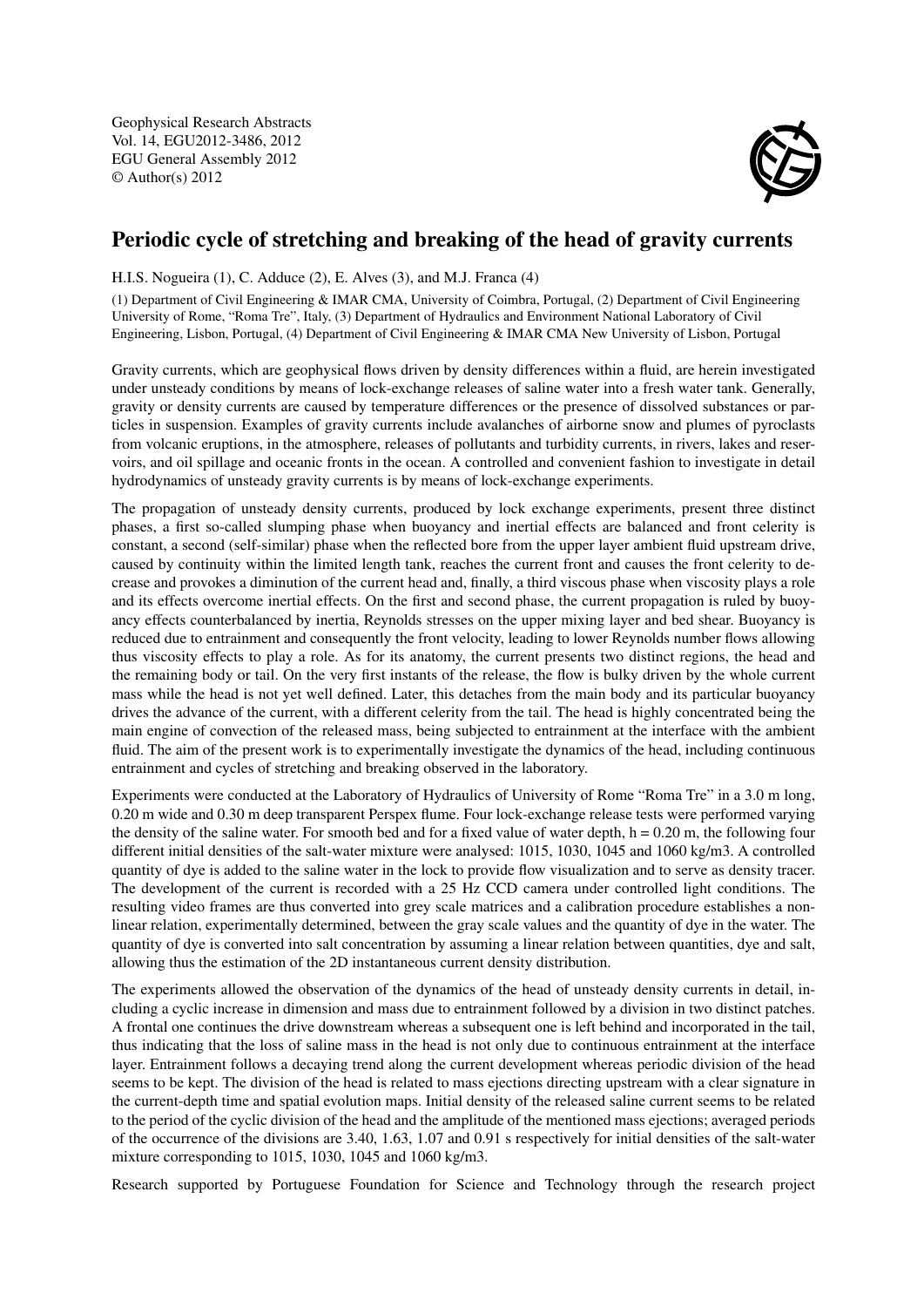Geophysical Research Abstracts Vol. 14, EGU2012-3486, 2012 EGU General Assembly 2012 © Author(s) 2012



## Periodic cycle of stretching and breaking of the head of gravity currents

H.I.S. Nogueira (1), C. Adduce (2), E. Alves (3), and M.J. Franca (4)

(1) Department of Civil Engineering & IMAR CMA, University of Coimbra, Portugal, (2) Department of Civil Engineering University of Rome, "Roma Tre", Italy, (3) Department of Hydraulics and Environment National Laboratory of Civil Engineering, Lisbon, Portugal, (4) Department of Civil Engineering & IMAR CMA New University of Lisbon, Portugal

Gravity currents, which are geophysical flows driven by density differences within a fluid, are herein investigated under unsteady conditions by means of lock-exchange releases of saline water into a fresh water tank. Generally, gravity or density currents are caused by temperature differences or the presence of dissolved substances or particles in suspension. Examples of gravity currents include avalanches of airborne snow and plumes of pyroclasts from volcanic eruptions, in the atmosphere, releases of pollutants and turbidity currents, in rivers, lakes and reservoirs, and oil spillage and oceanic fronts in the ocean. A controlled and convenient fashion to investigate in detail hydrodynamics of unsteady gravity currents is by means of lock-exchange experiments.

The propagation of unsteady density currents, produced by lock exchange experiments, present three distinct phases, a first so-called slumping phase when buoyancy and inertial effects are balanced and front celerity is constant, a second (self-similar) phase when the reflected bore from the upper layer ambient fluid upstream drive, caused by continuity within the limited length tank, reaches the current front and causes the front celerity to decrease and provokes a diminution of the current head and, finally, a third viscous phase when viscosity plays a role and its effects overcome inertial effects. On the first and second phase, the current propagation is ruled by buoyancy effects counterbalanced by inertia, Reynolds stresses on the upper mixing layer and bed shear. Buoyancy is reduced due to entrainment and consequently the front velocity, leading to lower Reynolds number flows allowing thus viscosity effects to play a role. As for its anatomy, the current presents two distinct regions, the head and the remaining body or tail. On the very first instants of the release, the flow is bulky driven by the whole current mass while the head is not yet well defined. Later, this detaches from the main body and its particular buoyancy drives the advance of the current, with a different celerity from the tail. The head is highly concentrated being the main engine of convection of the released mass, being subjected to entrainment at the interface with the ambient fluid. The aim of the present work is to experimentally investigate the dynamics of the head, including continuous entrainment and cycles of stretching and breaking observed in the laboratory.

Experiments were conducted at the Laboratory of Hydraulics of University of Rome "Roma Tre" in a 3.0 m long, 0.20 m wide and 0.30 m deep transparent Perspex flume. Four lock-exchange release tests were performed varying the density of the saline water. For smooth bed and for a fixed value of water depth,  $h = 0.20$  m, the following four different initial densities of the salt-water mixture were analysed: 1015, 1030, 1045 and 1060 kg/m3. A controlled quantity of dye is added to the saline water in the lock to provide flow visualization and to serve as density tracer. The development of the current is recorded with a 25 Hz CCD camera under controlled light conditions. The resulting video frames are thus converted into grey scale matrices and a calibration procedure establishes a nonlinear relation, experimentally determined, between the gray scale values and the quantity of dye in the water. The quantity of dye is converted into salt concentration by assuming a linear relation between quantities, dye and salt, allowing thus the estimation of the 2D instantaneous current density distribution.

The experiments allowed the observation of the dynamics of the head of unsteady density currents in detail, including a cyclic increase in dimension and mass due to entrainment followed by a division in two distinct patches. A frontal one continues the drive downstream whereas a subsequent one is left behind and incorporated in the tail, thus indicating that the loss of saline mass in the head is not only due to continuous entrainment at the interface layer. Entrainment follows a decaying trend along the current development whereas periodic division of the head seems to be kept. The division of the head is related to mass ejections directing upstream with a clear signature in the current-depth time and spatial evolution maps. Initial density of the released saline current seems to be related to the period of the cyclic division of the head and the amplitude of the mentioned mass ejections; averaged periods of the occurrence of the divisions are 3.40, 1.63, 1.07 and 0.91 s respectively for initial densities of the salt-water mixture corresponding to 1015, 1030, 1045 and 1060 kg/m3.

Research supported by Portuguese Foundation for Science and Technology through the research project